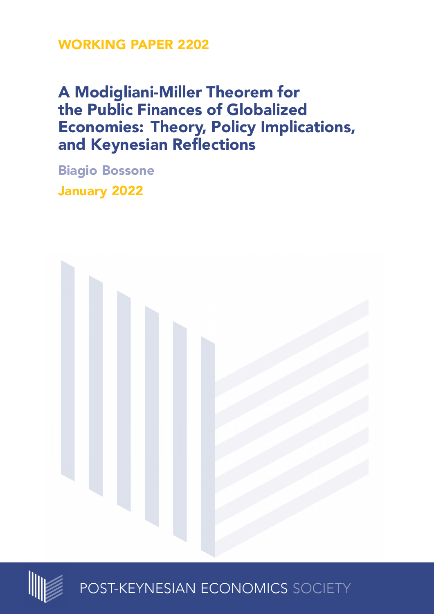## **WORKING PAPER 2202**

# **A Modigliani-Miller Theorem for the Public Finances of Globalized Economies: Theory, Policy Implications, and Keynesian Reflections**

**Biagio Bossone January 2022**





POST-KEYNESIAN ECONOMICS SOCIETY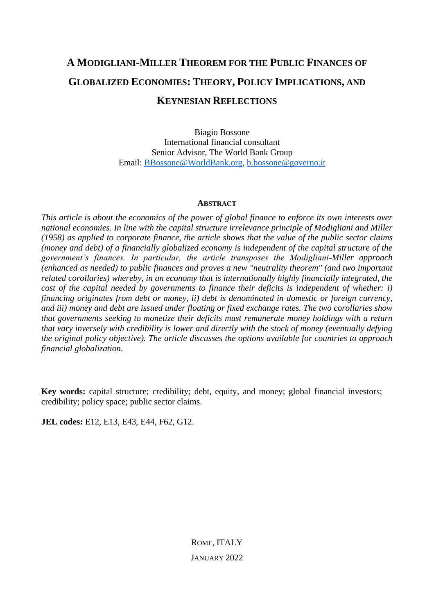## **A MODIGLIANI-MILLER THEOREM FOR THE PUBLIC FINANCES OF GLOBALIZED ECONOMIES: THEORY, POLICY IMPLICATIONS, AND KEYNESIAN REFLECTIONS**

Biagio Bossone International financial consultant Senior Advisor, The World Bank Group Email: [BBossone@WorldBank.org,](mailto:BBossone@WorldBank.org) [b.bossone@governo.it](mailto:b.bossone@governo.it)

### **ABSTRACT**

*This article is about the economics of the power of global finance to enforce its own interests over national economies. In line with the capital structure irrelevance principle of Modigliani and Miller (1958) as applied to corporate finance, the article shows that the value of the public sector claims (money and debt) of a financially globalized economy is independent of the capital structure of the government's finances. In particular, the article transposes the Modigliani-Miller approach (enhanced as needed) to public finances and proves a new "neutrality theorem" (and two important related corollaries) whereby, in an economy that is internationally highly financially integrated, the cost of the capital needed by governments to finance their deficits is independent of whether: i) financing originates from debt or money, ii) debt is denominated in domestic or foreign currency, and iii) money and debt are issued under floating or fixed exchange rates. The two corollaries show that governments seeking to monetize their deficits must remunerate money holdings with a return that vary inversely with credibility is lower and directly with the stock of money (eventually defying the original policy objective). The article discusses the options available for countries to approach financial globalization.*

**Key words:** capital structure; credibility; debt, equity, and money; global financial investors; credibility; policy space; public sector claims.

**JEL codes:** E12, E13, E43, E44, F62, G12.

ROME, ITALY JANUARY 2022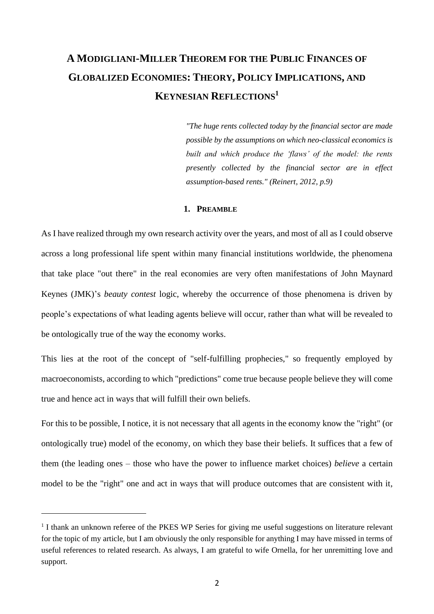## **A MODIGLIANI-MILLER THEOREM FOR THE PUBLIC FINANCES OF GLOBALIZED ECONOMIES: THEORY, POLICY IMPLICATIONS, AND KEYNESIAN REFLECTIONS<sup>1</sup>**

*"The huge rents collected today by the financial sector are made possible by the assumptions on which neo-classical economics is built and which produce the 'flaws' of the model: the rents presently collected by the financial sector are in effect assumption-based rents." (Reinert, 2012, p.9)*

#### **1. PREAMBLE**

As I have realized through my own research activity over the years, and most of all as I could observe across a long professional life spent within many financial institutions worldwide, the phenomena that take place "out there" in the real economies are very often manifestations of John Maynard Keynes (JMK)'s *beauty contest* logic, whereby the occurrence of those phenomena is driven by people's expectations of what leading agents believe will occur, rather than what will be revealed to be ontologically true of the way the economy works.

This lies at the root of the concept of "self-fulfilling prophecies," so frequently employed by macroeconomists, according to which "predictions" come true because people believe they will come true and hence act in ways that will fulfill their own beliefs.

For this to be possible, I notice, it is not necessary that all agents in the economy know the "right" (or ontologically true) model of the economy, on which they base their beliefs. It suffices that a few of them (the leading ones – those who have the power to influence market choices) *believe* a certain model to be the "right" one and act in ways that will produce outcomes that are consistent with it,

<sup>&</sup>lt;sup>1</sup> I thank an unknown referee of the PKES WP Series for giving me useful suggestions on literature relevant for the topic of my article, but I am obviously the only responsible for anything I may have missed in terms of useful references to related research. As always, I am grateful to wife Ornella, for her unremitting love and support.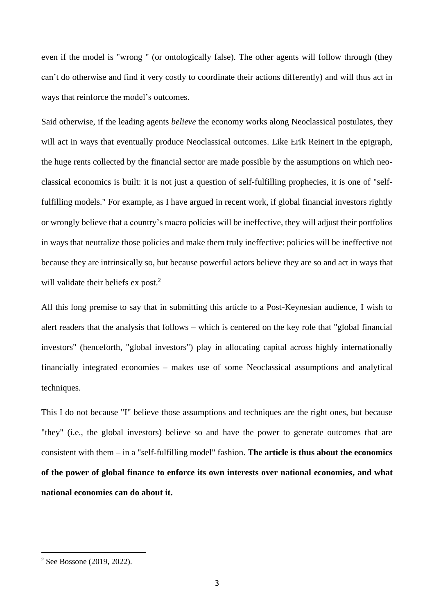even if the model is "wrong " (or ontologically false). The other agents will follow through (they can't do otherwise and find it very costly to coordinate their actions differently) and will thus act in ways that reinforce the model's outcomes.

Said otherwise, if the leading agents *believe* the economy works along Neoclassical postulates, they will act in ways that eventually produce Neoclassical outcomes. Like Erik Reinert in the epigraph, the huge rents collected by the financial sector are made possible by the assumptions on which neoclassical economics is built: it is not just a question of self-fulfilling prophecies, it is one of "selffulfilling models." For example, as I have argued in recent work, if global financial investors rightly or wrongly believe that a country's macro policies will be ineffective, they will adjust their portfolios in ways that neutralize those policies and make them truly ineffective: policies will be ineffective not because they are intrinsically so, but because powerful actors believe they are so and act in ways that will validate their beliefs  $ex$  post.<sup>2</sup>

All this long premise to say that in submitting this article to a Post-Keynesian audience, I wish to alert readers that the analysis that follows – which is centered on the key role that "global financial investors" (henceforth, "global investors") play in allocating capital across highly internationally financially integrated economies – makes use of some Neoclassical assumptions and analytical techniques.

This I do not because "I" believe those assumptions and techniques are the right ones, but because "they" (i.e., the global investors) believe so and have the power to generate outcomes that are consistent with them – in a "self-fulfilling model" fashion. **The article is thus about the economics of the power of global finance to enforce its own interests over national economies, and what national economies can do about it.**

<sup>2</sup> See Bossone (2019, 2022).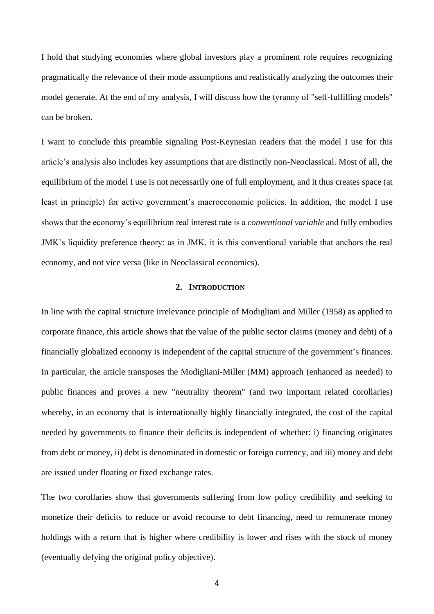I hold that studying economies where global investors play a prominent role requires recognizing pragmatically the relevance of their mode assumptions and realistically analyzing the outcomes their model generate. At the end of my analysis, I will discuss how the tyranny of "self-fulfilling models" can be broken.

I want to conclude this preamble signaling Post-Keynesian readers that the model I use for this article's analysis also includes key assumptions that are distinctly non-Neoclassical. Most of all, the equilibrium of the model I use is not necessarily one of full employment, and it thus creates space (at least in principle) for active government's macroeconomic policies. In addition, the model I use shows that the economy's equilibrium real interest rate is a *conventional variable* and fully embodies JMK's liquidity preference theory: as in JMK, it is this conventional variable that anchors the real economy, and not vice versa (like in Neoclassical economics).

#### **2. INTRODUCTION**

In line with the capital structure irrelevance principle of Modigliani and Miller (1958) as applied to corporate finance, this article shows that the value of the public sector claims (money and debt) of a financially globalized economy is independent of the capital structure of the government's finances. In particular, the article transposes the Modigliani-Miller (MM) approach (enhanced as needed) to public finances and proves a new "neutrality theorem" (and two important related corollaries) whereby, in an economy that is internationally highly financially integrated, the cost of the capital needed by governments to finance their deficits is independent of whether: i) financing originates from debt or money, ii) debt is denominated in domestic or foreign currency, and iii) money and debt are issued under floating or fixed exchange rates.

The two corollaries show that governments suffering from low policy credibility and seeking to monetize their deficits to reduce or avoid recourse to debt financing, need to remunerate money holdings with a return that is higher where credibility is lower and rises with the stock of money (eventually defying the original policy objective).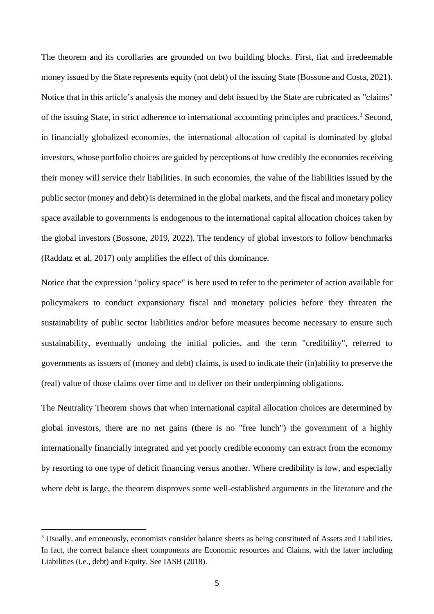The theorem and its corollaries are grounded on two building blocks. First, fiat and irredeemable money issued by the State represents equity (not debt) of the issuing State (Bossone and Costa, 2021). Notice that in this article's analysis the money and debt issued by the State are rubricated as "claims" of the issuing State, in strict adherence to international accounting principles and practices.<sup>3</sup> Second, in financially globalized economies, the international allocation of capital is dominated by global investors, whose portfolio choices are guided by perceptions of how credibly the economies receiving their money will service their liabilities. In such economies, the value of the liabilities issued by the public sector (money and debt) is determined in the global markets, and the fiscal and monetary policy space available to governments is endogenous to the international capital allocation choices taken by the global investors (Bossone, 2019, 2022). The tendency of global investors to follow benchmarks (Raddatz et al, 2017) only amplifies the effect of this dominance.

Notice that the expression "policy space" is here used to refer to the perimeter of action available for policymakers to conduct expansionary fiscal and monetary policies before they threaten the sustainability of public sector liabilities and/or before measures become necessary to ensure such sustainability, eventually undoing the initial policies, and the term "credibility", referred to governments as issuers of (money and debt) claims, is used to indicate their (in)ability to preserve the (real) value of those claims over time and to deliver on their underpinning obligations.

The Neutrality Theorem shows that when international capital allocation choices are determined by global investors, there are no net gains (there is no "free lunch") the government of a highly internationally financially integrated and yet poorly credible economy can extract from the economy by resorting to one type of deficit financing versus another. Where credibility is low, and especially where debt is large, the theorem disproves some well-established arguments in the literature and the

<sup>&</sup>lt;sup>3</sup> Usually, and erroneously, economists consider balance sheets as being constituted of Assets and Liabilities. In fact, the correct balance sheet components are Economic resources and Claims, with the latter including Liabilities (i.e., debt) and Equity. See IASB (2018).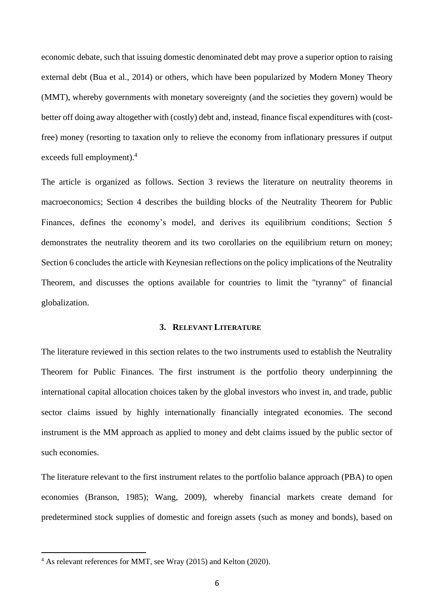economic debate, such that issuing domestic denominated debt may prove a superior option to raising external debt (Bua et al., 2014) or others, which have been popularized by Modern Money Theory (MMT), whereby governments with monetary sovereignty (and the societies they govern) would be better off doing away altogether with (costly) debt and, instead, finance fiscal expenditures with (costfree) money (resorting to taxation only to relieve the economy from inflationary pressures if output exceeds full employment). 4

The article is organized as follows. Section 3 reviews the literature on neutrality theorems in macroeconomics; Section 4 describes the building blocks of the Neutrality Theorem for Public Finances, defines the economy's model, and derives its equilibrium conditions; Section 5 demonstrates the neutrality theorem and its two corollaries on the equilibrium return on money; Section 6 concludes the article with Keynesian reflections on the policy implications of the Neutrality Theorem, and discusses the options available for countries to limit the "tyranny" of financial globalization.

#### **3. RELEVANT LITERATURE**

The literature reviewed in this section relates to the two instruments used to establish the Neutrality Theorem for Public Finances. The first instrument is the portfolio theory underpinning the international capital allocation choices taken by the global investors who invest in, and trade, public sector claims issued by highly internationally financially integrated economies. The second instrument is the MM approach as applied to money and debt claims issued by the public sector of such economies.

The literature relevant to the first instrument relates to the portfolio balance approach (PBA) to open economies (Branson, 1985); Wang, 2009), whereby financial markets create demand for predetermined stock supplies of domestic and foreign assets (such as money and bonds), based on

<sup>4</sup> As relevant references for MMT, see Wray (2015) and Kelton (2020).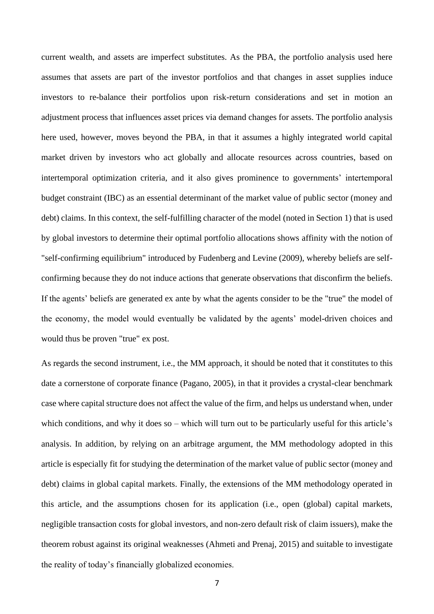current wealth, and assets are imperfect substitutes. As the PBA, the portfolio analysis used here assumes that assets are part of the investor portfolios and that changes in asset supplies induce investors to re-balance their portfolios upon risk-return considerations and set in motion an adjustment process that influences asset prices via demand changes for assets. The portfolio analysis here used, however, moves beyond the PBA, in that it assumes a highly integrated world capital market driven by investors who act globally and allocate resources across countries, based on intertemporal optimization criteria, and it also gives prominence to governments' intertemporal budget constraint (IBC) as an essential determinant of the market value of public sector (money and debt) claims. In this context, the self-fulfilling character of the model (noted in Section 1) that is used by global investors to determine their optimal portfolio allocations shows affinity with the notion of "self-confirming equilibrium" introduced by Fudenberg and Levine (2009), whereby beliefs are selfconfirming because they do not induce actions that generate observations that disconfirm the beliefs. If the agents' beliefs are generated ex ante by what the agents consider to be the "true" the model of the economy, the model would eventually be validated by the agents' model-driven choices and would thus be proven "true" ex post.

As regards the second instrument, i.e., the MM approach, it should be noted that it constitutes to this date a cornerstone of corporate finance (Pagano, 2005), in that it provides a crystal-clear benchmark case where capital structure does not affect the value of the firm, and helps us understand when, under which conditions, and why it does so – which will turn out to be particularly useful for this article's analysis. In addition, by relying on an arbitrage argument, the MM methodology adopted in this article is especially fit for studying the determination of the market value of public sector (money and debt) claims in global capital markets. Finally, the extensions of the MM methodology operated in this article, and the assumptions chosen for its application (i.e., open (global) capital markets, negligible transaction costs for global investors, and non-zero default risk of claim issuers), make the theorem robust against its original weaknesses (Ahmeti and Prenaj, 2015) and suitable to investigate the reality of today's financially globalized economies.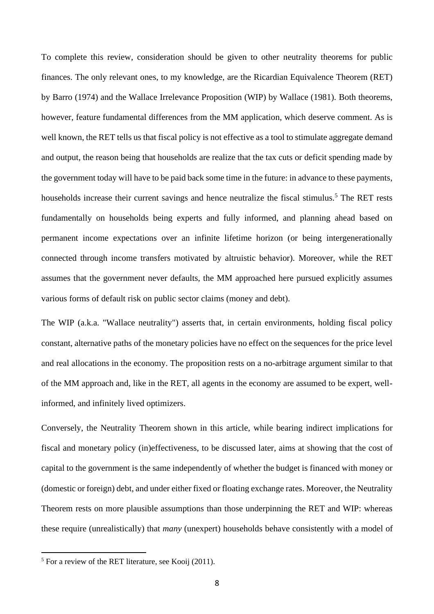To complete this review, consideration should be given to other neutrality theorems for public finances. The only relevant ones, to my knowledge, are the Ricardian Equivalence Theorem (RET) by Barro (1974) and the Wallace Irrelevance Proposition (WIP) by Wallace (1981). Both theorems, however, feature fundamental differences from the MM application, which deserve comment. As is well known, the RET tells us that fiscal policy is not effective as a tool to stimulate aggregate demand and output, the reason being that households are realize that the tax cuts or deficit spending made by the government today will have to be paid back some time in the future: in advance to these payments, households increase their current savings and hence neutralize the fiscal stimulus.<sup>5</sup> The RET rests fundamentally on households being experts and fully informed, and planning ahead based on permanent income expectations over an infinite lifetime horizon (or being intergenerationally connected through income transfers motivated by altruistic behavior). Moreover, while the RET assumes that the government never defaults, the MM approached here pursued explicitly assumes various forms of default risk on public sector claims (money and debt).

The WIP (a.k.a. "Wallace neutrality") asserts that, in certain environments, holding fiscal policy constant, alternative paths of the monetary policies have no effect on the sequences for the price level and real allocations in the economy. The proposition rests on a no-arbitrage argument similar to that of the MM approach and, like in the RET, all agents in the economy are assumed to be expert, wellinformed, and infinitely lived optimizers.

Conversely, the Neutrality Theorem shown in this article, while bearing indirect implications for fiscal and monetary policy (in)effectiveness, to be discussed later, aims at showing that the cost of capital to the government is the same independently of whether the budget is financed with money or (domestic or foreign) debt, and under either fixed or floating exchange rates. Moreover, the Neutrality Theorem rests on more plausible assumptions than those underpinning the RET and WIP: whereas these require (unrealistically) that *many* (unexpert) households behave consistently with a model of

<sup>5</sup> For a review of the RET literature, see Kooij (2011).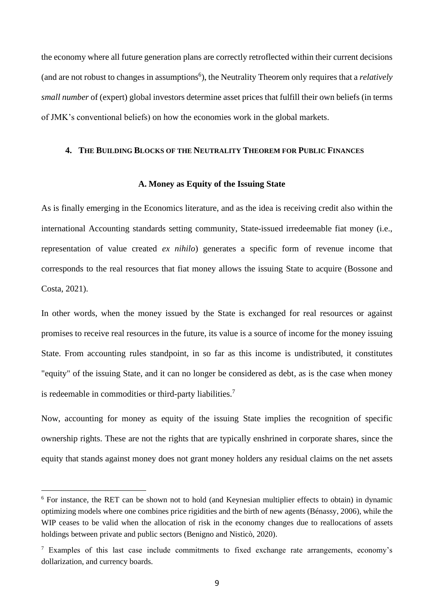the economy where all future generation plans are correctly retroflected within their current decisions (and are not robust to changes in assumptions<sup>6</sup>), the Neutrality Theorem only requires that a *relatively small number* of (expert) global investors determine asset prices that fulfill their own beliefs (in terms of JMK's conventional beliefs) on how the economies work in the global markets.

#### **4. THE BUILDING BLOCKS OF THE NEUTRALITY THEOREM FOR PUBLIC FINANCES**

#### **A. Money as Equity of the Issuing State**

As is finally emerging in the Economics literature, and as the idea is receiving credit also within the international Accounting standards setting community, State-issued irredeemable fiat money (i.e., representation of value created *ex nihilo*) generates a specific form of revenue income that corresponds to the real resources that fiat money allows the issuing State to acquire (Bossone and Costa, 2021).

In other words, when the money issued by the State is exchanged for real resources or against promises to receive real resources in the future, its value is a source of income for the money issuing State. From accounting rules standpoint, in so far as this income is undistributed, it constitutes "equity" of the issuing State, and it can no longer be considered as debt, as is the case when money is redeemable in commodities or third-party liabilities.<sup>7</sup>

Now, accounting for money as equity of the issuing State implies the recognition of specific ownership rights. These are not the rights that are typically enshrined in corporate shares, since the equity that stands against money does not grant money holders any residual claims on the net assets

<sup>6</sup> For instance, the RET can be shown not to hold (and Keynesian multiplier effects to obtain) in dynamic optimizing models where one combines price rigidities and the birth of new agents (Bénassy, 2006), while the WIP ceases to be valid when the allocation of risk in the economy changes due to reallocations of assets holdings between private and public sectors (Benigno and Nisticò, 2020).

<sup>7</sup> Examples of this last case include commitments to fixed exchange rate arrangements, economy's dollarization, and currency boards.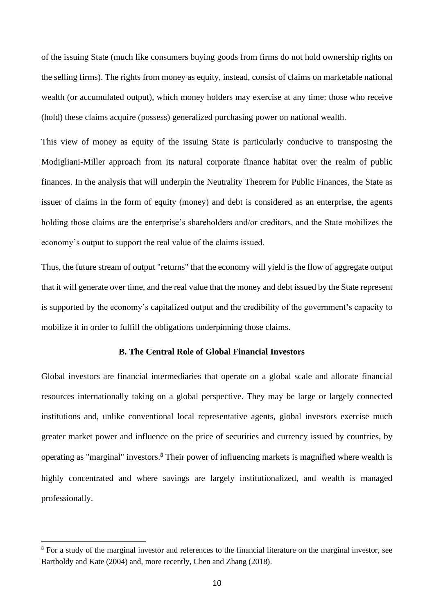of the issuing State (much like consumers buying goods from firms do not hold ownership rights on the selling firms). The rights from money as equity, instead, consist of claims on marketable national wealth (or accumulated output), which money holders may exercise at any time: those who receive (hold) these claims acquire (possess) generalized purchasing power on national wealth.

This view of money as equity of the issuing State is particularly conducive to transposing the Modigliani-Miller approach from its natural corporate finance habitat over the realm of public finances. In the analysis that will underpin the Neutrality Theorem for Public Finances, the State as issuer of claims in the form of equity (money) and debt is considered as an enterprise, the agents holding those claims are the enterprise's shareholders and/or creditors, and the State mobilizes the economy's output to support the real value of the claims issued.

Thus, the future stream of output "returns" that the economy will yield is the flow of aggregate output that it will generate over time, and the real value that the money and debt issued by the State represent is supported by the economy's capitalized output and the credibility of the government's capacity to mobilize it in order to fulfill the obligations underpinning those claims.

## **B. The Central Role of Global Financial Investors**

Global investors are financial intermediaries that operate on a global scale and allocate financial resources internationally taking on a global perspective. They may be large or largely connected institutions and, unlike conventional local representative agents, global investors exercise much greater market power and influence on the price of securities and currency issued by countries, by operating as "marginal" investors.<sup>8</sup> Their power of influencing markets is magnified where wealth is highly concentrated and where savings are largely institutionalized, and wealth is managed professionally.

<sup>8</sup> For a study of the marginal investor and references to the financial literature on the marginal investor, see Bartholdy and Kate (2004) and, more recently, Chen and Zhang (2018).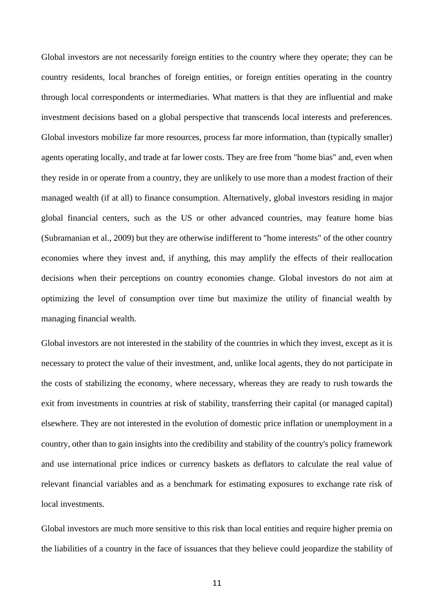Global investors are not necessarily foreign entities to the country where they operate; they can be country residents, local branches of foreign entities, or foreign entities operating in the country through local correspondents or intermediaries. What matters is that they are influential and make investment decisions based on a global perspective that transcends local interests and preferences. Global investors mobilize far more resources, process far more information, than (typically smaller) agents operating locally, and trade at far lower costs. They are free from "home bias" and, even when they reside in or operate from a country, they are unlikely to use more than a modest fraction of their managed wealth (if at all) to finance consumption. Alternatively, global investors residing in major global financial centers, such as the US or other advanced countries, may feature home bias (Subramanian et al., 2009) but they are otherwise indifferent to "home interests" of the other country economies where they invest and, if anything, this may amplify the effects of their reallocation decisions when their perceptions on country economies change. Global investors do not aim at optimizing the level of consumption over time but maximize the utility of financial wealth by managing financial wealth.

Global investors are not interested in the stability of the countries in which they invest, except as it is necessary to protect the value of their investment, and, unlike local agents, they do not participate in the costs of stabilizing the economy, where necessary, whereas they are ready to rush towards the exit from investments in countries at risk of stability, transferring their capital (or managed capital) elsewhere. They are not interested in the evolution of domestic price inflation or unemployment in a country, other than to gain insights into the credibility and stability of the country's policy framework and use international price indices or currency baskets as deflators to calculate the real value of relevant financial variables and as a benchmark for estimating exposures to exchange rate risk of local investments.

Global investors are much more sensitive to this risk than local entities and require higher premia on the liabilities of a country in the face of issuances that they believe could jeopardize the stability of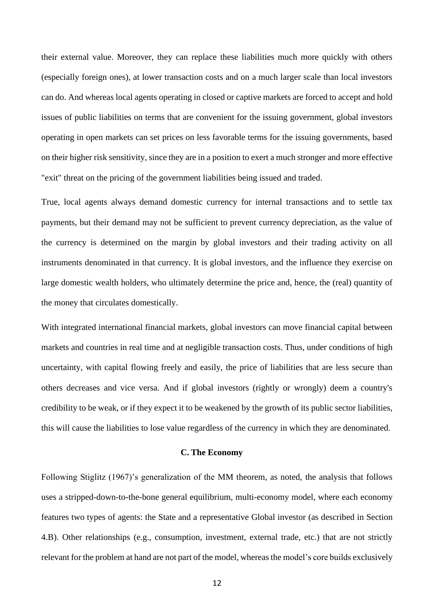their external value. Moreover, they can replace these liabilities much more quickly with others (especially foreign ones), at lower transaction costs and on a much larger scale than local investors can do. And whereas local agents operating in closed or captive markets are forced to accept and hold issues of public liabilities on terms that are convenient for the issuing government, global investors operating in open markets can set prices on less favorable terms for the issuing governments, based on their higher risk sensitivity, since they are in a position to exert a much stronger and more effective "exit" threat on the pricing of the government liabilities being issued and traded.

True, local agents always demand domestic currency for internal transactions and to settle tax payments, but their demand may not be sufficient to prevent currency depreciation, as the value of the currency is determined on the margin by global investors and their trading activity on all instruments denominated in that currency. It is global investors, and the influence they exercise on large domestic wealth holders, who ultimately determine the price and, hence, the (real) quantity of the money that circulates domestically.

With integrated international financial markets, global investors can move financial capital between markets and countries in real time and at negligible transaction costs. Thus, under conditions of high uncertainty, with capital flowing freely and easily, the price of liabilities that are less secure than others decreases and vice versa. And if global investors (rightly or wrongly) deem a country's credibility to be weak, or if they expect it to be weakened by the growth of its public sector liabilities, this will cause the liabilities to lose value regardless of the currency in which they are denominated.

#### **C. The Economy**

Following Stiglitz (1967)'s generalization of the MM theorem, as noted, the analysis that follows uses a stripped-down-to-the-bone general equilibrium, multi-economy model, where each economy features two types of agents: the State and a representative Global investor (as described in Section 4.B). Other relationships (e.g., consumption, investment, external trade, etc.) that are not strictly relevant for the problem at hand are not part of the model, whereas the model's core builds exclusively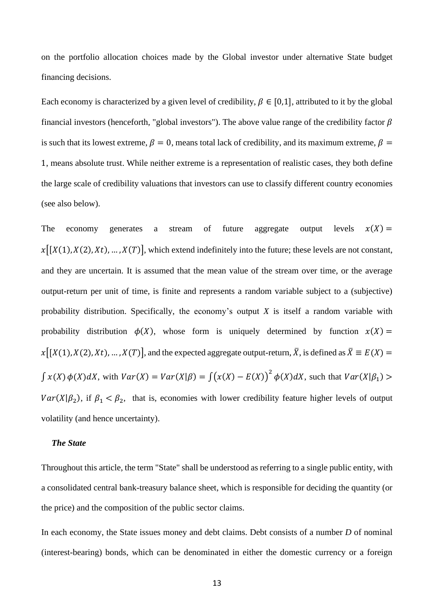on the portfolio allocation choices made by the Global investor under alternative State budget financing decisions.

Each economy is characterized by a given level of credibility,  $\beta \in [0,1]$ , attributed to it by the global financial investors (henceforth, "global investors"). The above value range of the credibility factor  $\beta$ is such that its lowest extreme,  $\beta = 0$ , means total lack of credibility, and its maximum extreme,  $\beta =$ 1, means absolute trust. While neither extreme is a representation of realistic cases, they both define the large scale of credibility valuations that investors can use to classify different country economies (see also below).

The economy generates a stream of future aggregate output levels  $x(X) =$  $x[[X(1),X(2),Xt), ..., X(T)]$ , which extend indefinitely into the future; these levels are not constant, and they are uncertain. It is assumed that the mean value of the stream over time, or the average output-return per unit of time, is finite and represents a random variable subject to a (subjective) probability distribution. Specifically, the economy's output *X* is itself a random variable with probability distribution  $\phi(X)$ , whose form is uniquely determined by function  $x(X) =$  $x[[X(1),X(2),Xt),...,X(T)]$ , and the expected aggregate output-return,  $\overline{X}$ , is defined as  $\overline{X} \equiv E(X) =$  $\int x(X) \phi(X) dX$ , with  $Var(X) = Var(X|\beta) = \int (x(X) - E(X))^2 \phi(X) dX$ , such that  $Var(X|\beta_1)$  $Var(X|\beta_2)$ , if  $\beta_1 < \beta_2$ , that is, economies with lower credibility feature higher levels of output volatility (and hence uncertainty).

### *The State*

Throughout this article, the term "State" shall be understood as referring to a single public entity, with a consolidated central bank-treasury balance sheet, which is responsible for deciding the quantity (or the price) and the composition of the public sector claims.

In each economy, the State issues money and debt claims. Debt consists of a number *D* of nominal (interest-bearing) bonds, which can be denominated in either the domestic currency or a foreign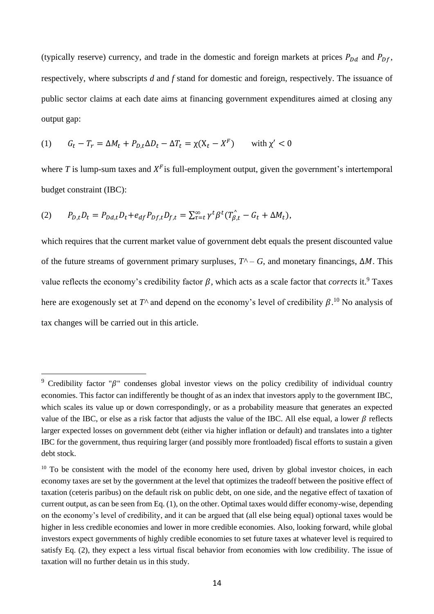(typically reserve) currency, and trade in the domestic and foreign markets at prices  $P_{Dd}$  and  $P_{Df}$ , respectively, where subscripts *d* and *f* stand for domestic and foreign, respectively. The issuance of public sector claims at each date aims at financing government expenditures aimed at closing any output gap:

(1) 
$$
G_t - T_r = \Delta M_t + P_{D,t} \Delta D_t - \Delta T_t = \chi(X_t - X^F) \quad \text{with } \chi' < 0
$$

where  $T$  is lump-sum taxes and  $X^F$  is full-employment output, given the government's intertemporal budget constraint (IBC):

$$
(2) \qquad P_{D,t}D_t = P_{Dd,t}D_t + e_{df}P_{Df,t}D_{f,t} = \sum_{\tau=t}^{\infty} \gamma^t \beta^t (T_{\beta,t}^{\wedge} - G_t + \Delta M_t),
$$

which requires that the current market value of government debt equals the present discounted value of the future streams of government primary surpluses,  $T^{\wedge}$  – *G*, and monetary financings,  $\Delta M$ . This value reflects the economy's credibility factor  $\beta$ , which acts as a scale factor that *corrects* it.<sup>9</sup> Taxes here are exogenously set at  $T^{\wedge}$  and depend on the economy's level of credibility  $\beta$ .<sup>10</sup> No analysis of tax changes will be carried out in this article.

<sup>&</sup>lt;sup>9</sup> Credibility factor " $\beta$ " condenses global investor views on the policy credibility of individual country economies. This factor can indifferently be thought of as an index that investors apply to the government IBC, which scales its value up or down correspondingly, or as a probability measure that generates an expected value of the IBC, or else as a risk factor that adjusts the value of the IBC. All else equal, a lower  $\beta$  reflects larger expected losses on government debt (either via higher inflation or default) and translates into a tighter IBC for the government, thus requiring larger (and possibly more frontloaded) fiscal efforts to sustain a given debt stock.

 $10$  To be consistent with the model of the economy here used, driven by global investor choices, in each economy taxes are set by the government at the level that optimizes the tradeoff between the positive effect of taxation (ceteris paribus) on the default risk on public debt, on one side, and the negative effect of taxation of current output, as can be seen from Eq. (1), on the other. Optimal taxes would differ economy-wise, depending on the economy's level of credibility, and it can be argued that (all else being equal) optional taxes would be higher in less credible economies and lower in more credible economies. Also, looking forward, while global investors expect governments of highly credible economies to set future taxes at whatever level is required to satisfy Eq. (2), they expect a less virtual fiscal behavior from economies with low credibility. The issue of taxation will no further detain us in this study.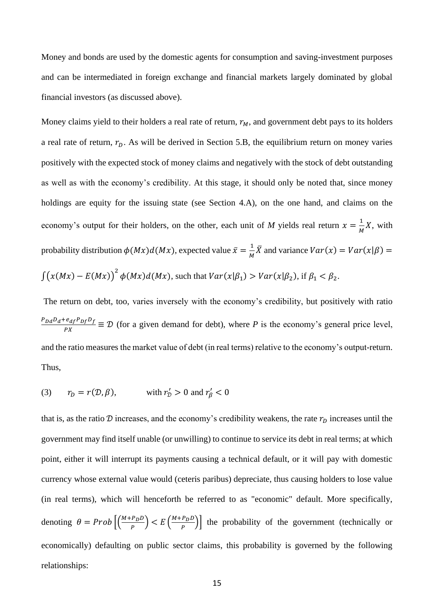Money and bonds are used by the domestic agents for consumption and saving-investment purposes and can be intermediated in foreign exchange and financial markets largely dominated by global financial investors (as discussed above).

Money claims yield to their holders a real rate of return,  $r_M$ , and government debt pays to its holders a real rate of return,  $r<sub>p</sub>$ . As will be derived in Section 5.B, the equilibrium return on money varies positively with the expected stock of money claims and negatively with the stock of debt outstanding as well as with the economy's credibility. At this stage, it should only be noted that, since money holdings are equity for the issuing state (see Section 4.A), on the one hand, and claims on the economy's output for their holders, on the other, each unit of M yields real return  $x = \frac{1}{M}$  $\frac{1}{M}X$ , with probability distribution  $\phi(Mx) d(Mx)$ , expected value  $\bar{x} = \frac{1}{M}$  $\frac{1}{M}\overline{X}$  and variance  $Var(x) = Var(x|\beta) =$  $\int (x(Mx) - E(Mx))^2 \phi(Mx) d(Mx)$ , such that  $Var(x|\beta_1) > Var(x|\beta_2)$ , if  $\beta_1 < \beta_2$ .

The return on debt, too, varies inversely with the economy's credibility, but positively with ratio  $P_{Dd}D_d + e_{df}P_{Df}D_f$  $\frac{C_{a}P_{b}P_{b}}{PX} \equiv \mathcal{D}$  (for a given demand for debt), where *P* is the economy's general price level, and the ratio measures the market value of debt (in real terms) relative to the economy's output-return. Thus,

(3) 
$$
r_D = r(D, \beta)
$$
, with  $r'_D > 0$  and  $r'_\beta < 0$ 

that is, as the ratio  $D$  increases, and the economy's credibility weakens, the rate  $r<sub>D</sub>$  increases until the government may find itself unable (or unwilling) to continue to service its debt in real terms; at which point, either it will interrupt its payments causing a technical default, or it will pay with domestic currency whose external value would (ceteris paribus) depreciate, thus causing holders to lose value (in real terms), which will henceforth be referred to as "economic" default. More specifically, denoting  $\theta = Prob\left[\left(\frac{M+P_D D}{P}\right)\right]$  $\left(\frac{P_D D}{P}\right)$  <  $E\left(\frac{M+P_D D}{P}\right)$  $\left(\frac{P_D}{P}\right)$  the probability of the government (technically or economically) defaulting on public sector claims, this probability is governed by the following relationships: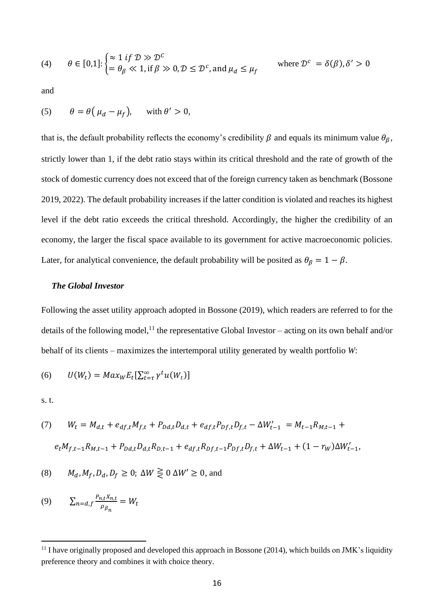(4) 
$$
\theta \in [0,1]: \begin{cases} \approx 1 \text{ if } \mathcal{D} \gg \mathcal{D}^c \\ = \theta_\beta \ll 1, \text{ if } \beta \gg 0, \mathcal{D} \le \mathcal{D}^c, \text{ and } \mu_d \le \mu_f \end{cases} \text{ where } \mathcal{D}^c = \delta(\beta), \delta' > 0
$$

and

(5) 
$$
\theta = \theta \left( \mu_d - \mu_f \right)
$$
, with  $\theta' > 0$ ,

that is, the default probability reflects the economy's credibility  $\beta$  and equals its minimum value  $\theta_{\beta}$ , strictly lower than 1, if the debt ratio stays within its critical threshold and the rate of growth of the stock of domestic currency does not exceed that of the foreign currency taken as benchmark (Bossone 2019, 2022). The default probability increases if the latter condition is violated and reaches its highest level if the debt ratio exceeds the critical threshold. Accordingly, the higher the credibility of an economy, the larger the fiscal space available to its government for active macroeconomic policies. Later, for analytical convenience, the default probability will be posited as  $\theta_{\beta} = 1 - \beta$ .

## *The Global Investor*

Following the asset utility approach adopted in Bossone (2019), which readers are referred to for the details of the following model,<sup>11</sup> the representative Global Investor – acting on its own behalf and/or behalf of its clients – maximizes the intertemporal utility generated by wealth portfolio *W*:

$$
(6) \qquad U(W_t) = Max_W E_t[\sum_{t=\tau}^{\infty} \gamma^t u(W_t)]
$$

s. t.

(7) 
$$
W_t = M_{d,t} + e_{df,t}M_{f,t} + P_{Dd,t}D_{d,t} + e_{df,t}P_{Df,t}D_{f,t} - \Delta W'_{t-1} = M_{t-1}R_{M,t-1} +
$$

$$
e_t M_{f,t-1}R_{M,t-1} + P_{Dd,t}D_{d,t}R_{D,t-1} + e_{df,t}R_{Df,t-1}P_{Df,t}D_{f,t} + \Delta W_{t-1} + (1 - r_W)\Delta W'_{t-1},
$$

(8) 
$$
M_d, M_f, D_d, D_f \ge 0
$$
;  $\Delta W \ge 0 \Delta W' \ge 0$ , and

$$
(9) \qquad \sum_{n=d,f} \frac{P_{n,t}X_{n,t}}{\rho_{\beta_n}} = W_t
$$

<sup>&</sup>lt;sup>11</sup> I have originally proposed and developed this approach in Bossone (2014), which builds on JMK's liquidity preference theory and combines it with choice theory.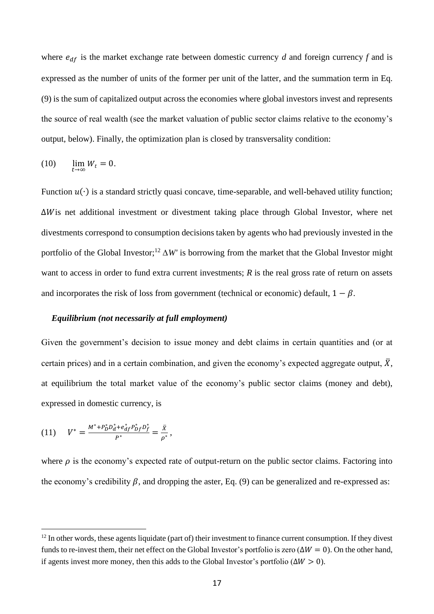where  $e_{df}$  is the market exchange rate between domestic currency *d* and foreign currency *f* and is expressed as the number of units of the former per unit of the latter, and the summation term in Eq. (9) is the sum of capitalized output across the economies where global investors invest and represents the source of real wealth (see the market valuation of public sector claims relative to the economy's output, below). Finally, the optimization plan is closed by transversality condition:

$$
(10) \qquad \lim_{t \to \infty} W_t = 0.
$$

Function  $u(·)$  is a standard strictly quasi concave, time-separable, and well-behaved utility function;  $\Delta W$  is net additional investment or divestment taking place through Global Investor, where net divestments correspond to consumption decisions taken by agents who had previously invested in the portfolio of the Global Investor;<sup>12</sup>  $\Delta W'$  is borrowing from the market that the Global Investor might want to access in order to fund extra current investments; *R* is the real gross rate of return on assets and incorporates the risk of loss from government (technical or economic) default,  $1 - \beta$ .

#### *Equilibrium (not necessarily at full employment)*

Given the government's decision to issue money and debt claims in certain quantities and (or at certain prices) and in a certain combination, and given the economy's expected aggregate output,  $\bar{X}$ , at equilibrium the total market value of the economy's public sector claims (money and debt), expressed in domestic currency, is

$$
(11) \tV^* = \frac{M^* + P_D^* D_d^* + e_{df}^* P_D^* D_f^*}{P^*} = \frac{\bar{x}}{\rho^*},
$$

where  $\rho$  is the economy's expected rate of output-return on the public sector claims. Factoring into the economy's credibility  $\beta$ , and dropping the aster, Eq. (9) can be generalized and re-expressed as:

 $12$  In other words, these agents liquidate (part of) their investment to finance current consumption. If they divest funds to re-invest them, their net effect on the Global Investor's portfolio is zero ( $\Delta W = 0$ ). On the other hand, if agents invest more money, then this adds to the Global Investor's portfolio ( $\Delta W > 0$ ).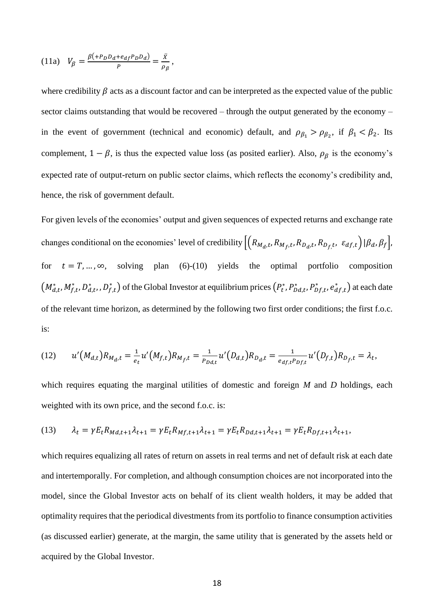(11a) 
$$
V_{\beta} = \frac{\beta (+P_D D_d + e_{df} P_D D_d)}{P} = \frac{\bar{x}}{\rho_{\beta}},
$$

where credibility  $\beta$  acts as a discount factor and can be interpreted as the expected value of the public sector claims outstanding that would be recovered – through the output generated by the economy – in the event of government (technical and economic) default, and  $\rho_{\beta_1} > \rho_{\beta_2}$ , if  $\beta_1 < \beta_2$ . Its complement,  $1 - \beta$ , is thus the expected value loss (as posited earlier). Also,  $\rho_{\beta}$  is the economy's expected rate of output-return on public sector claims, which reflects the economy's credibility and, hence, the risk of government default.

For given levels of the economies' output and given sequences of expected returns and exchange rate changes conditional on the economies' level of credibility  $\left[\left(R_{M_d,t},R_{M_f,t},R_{D_d,t},R_{D_f,t},\ \varepsilon_{df,t}\right)|\beta_d,\beta_f\right]$ , for  $t = T, ..., \infty$ , solving plan (6)-(10) yields the optimal portfolio composition  $(M^*_{d,t},M^*_{f,t},D^*_{d,t},D^*_{f,t})$  of the Global Investor at equilibrium prices  $(P_t^*,P_{Dd,t}^*,P_{Df,t}^*,e_{df,t}^*)$  at each date of the relevant time horizon, as determined by the following two first order conditions; the first f.o.c. is:

(12) 
$$
u'(M_{d,t})R_{M_{d},t} = \frac{1}{e_t}u'(M_{f,t})R_{M_{f},t} = \frac{1}{P_{Dd,t}}u'(D_{d,t})R_{D_{d},t} = \frac{1}{e_{df,t}P_{Df,t}}u'(D_{f,t})R_{D_{f},t} = \lambda_t,
$$

which requires equating the marginal utilities of domestic and foreign *M* and *D* holdings, each weighted with its own price, and the second f.o.c. is:

(13) 
$$
\lambda_t = \gamma E_t R_{Md,t+1} \lambda_{t+1} = \gamma E_t R_{Mf,t+1} \lambda_{t+1} = \gamma E_t R_{Dd,t+1} \lambda_{t+1} = \gamma E_t R_{Df,t+1} \lambda_{t+1},
$$

which requires equalizing all rates of return on assets in real terms and net of default risk at each date and intertemporally. For completion, and although consumption choices are not incorporated into the model, since the Global Investor acts on behalf of its client wealth holders, it may be added that optimality requires that the periodical divestments from its portfolio to finance consumption activities (as discussed earlier) generate, at the margin, the same utility that is generated by the assets held or acquired by the Global Investor.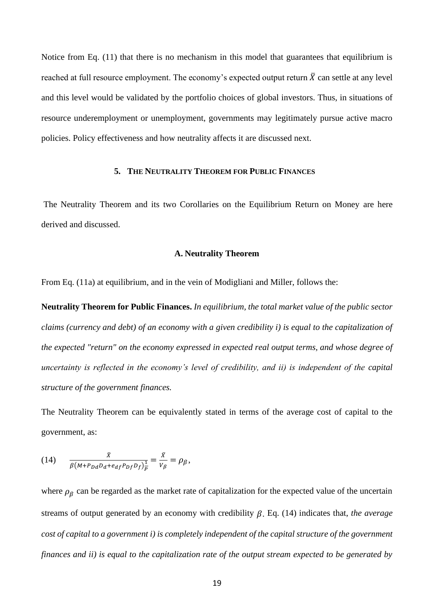Notice from Eq. (11) that there is no mechanism in this model that guarantees that equilibrium is reached at full resource employment. The economy's expected output return  $\bar{X}$  can settle at any level and this level would be validated by the portfolio choices of global investors. Thus, in situations of resource underemployment or unemployment, governments may legitimately pursue active macro policies. Policy effectiveness and how neutrality affects it are discussed next.

### **5. THE NEUTRALITY THEOREM FOR PUBLIC FINANCES**

The Neutrality Theorem and its two Corollaries on the Equilibrium Return on Money are here derived and discussed.

#### **A. Neutrality Theorem**

From Eq. (11a) at equilibrium, and in the vein of Modigliani and Miller, follows the:

**Neutrality Theorem for Public Finances.** *In equilibrium, the total market value of the public sector claims (currency and debt) of an economy with a given credibility i) is equal to the capitalization of the expected "return" on the economy expressed in expected real output terms, and whose degree of uncertainty is reflected in the economy's level of credibility, and ii) is independent of the capital structure of the government finances.*

The Neutrality Theorem can be equivalently stated in terms of the average cost of capital to the government, as:

(14) 
$$
\frac{\bar{x}}{\beta(M + P_{Dd}D_d + e_{df}P_{Df}D_f)^{\frac{1}{p}}} = \frac{\bar{x}}{V_{\beta}} = \rho_{\beta},
$$

where  $\rho_{\beta}$  can be regarded as the market rate of capitalization for the expected value of the uncertain streams of output generated by an economy with credibility  $\beta$ . Eq. (14) indicates that, *the average cost of capital to a government i) is completely independent of the capital structure of the government finances and ii) is equal to the capitalization rate of the output stream expected to be generated by*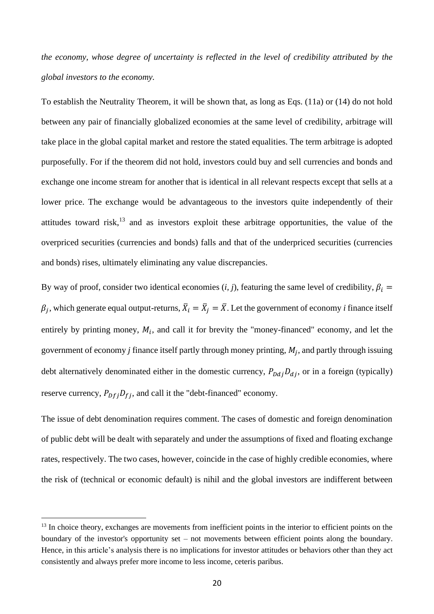*the economy, whose degree of uncertainty is reflected in the level of credibility attributed by the global investors to the economy.* 

To establish the Neutrality Theorem, it will be shown that, as long as Eqs. (11a) or (14) do not hold between any pair of financially globalized economies at the same level of credibility, arbitrage will take place in the global capital market and restore the stated equalities. The term arbitrage is adopted purposefully. For if the theorem did not hold, investors could buy and sell currencies and bonds and exchange one income stream for another that is identical in all relevant respects except that sells at a lower price. The exchange would be advantageous to the investors quite independently of their attitudes toward risk,<sup>13</sup> and as investors exploit these arbitrage opportunities, the value of the overpriced securities (currencies and bonds) falls and that of the underpriced securities (currencies and bonds) rises, ultimately eliminating any value discrepancies.

By way of proof, consider two identical economies (*i, j*), featuring the same level of credibility,  $\beta_i$  =  $\beta_j$ , which generate equal output-returns,  $\bar{X}_i = \bar{X}_j = \bar{X}$ . Let the government of economy *i* finance itself entirely by printing money,  $M_i$ , and call it for brevity the "money-financed" economy, and let the government of economy  $j$  finance itself partly through money printing,  $M_j$ , and partly through issuing debt alternatively denominated either in the domestic currency,  $P_{Ddj}D_{dj}$ , or in a foreign (typically) reserve currency,  $P_{Df}P_{fj}$ , and call it the "debt-financed" economy.

The issue of debt denomination requires comment. The cases of domestic and foreign denomination of public debt will be dealt with separately and under the assumptions of fixed and floating exchange rates, respectively. The two cases, however, coincide in the case of highly credible economies, where the risk of (technical or economic default) is nihil and the global investors are indifferent between

<sup>&</sup>lt;sup>13</sup> In choice theory, exchanges are movements from inefficient points in the interior to efficient points on the boundary of the investor's opportunity set – not movements between efficient points along the boundary. Hence, in this article's analysis there is no implications for investor attitudes or behaviors other than they act consistently and always prefer more income to less income, ceteris paribus.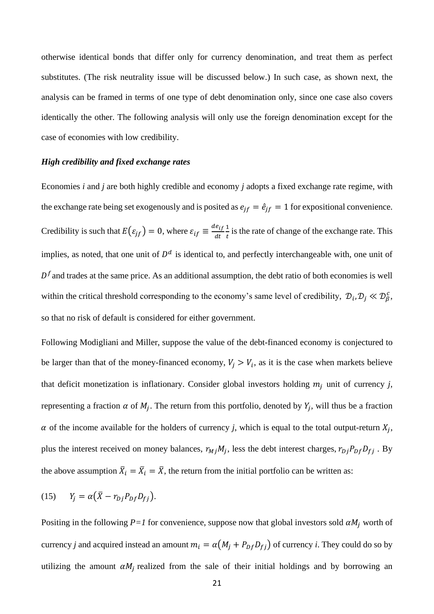otherwise identical bonds that differ only for currency denomination, and treat them as perfect substitutes. (The risk neutrality issue will be discussed below.) In such case, as shown next, the analysis can be framed in terms of one type of debt denomination only, since one case also covers identically the other. The following analysis will only use the foreign denomination except for the case of economies with low credibility.

#### *High credibility and fixed exchange rates*

Economies *i* and *j* are both highly credible and economy *j* adopts a fixed exchange rate regime, with the exchange rate being set exogenously and is posited as  $e_{if} = \hat{e}_{if} = 1$  for expositional convenience. Credibility is such that  $E(\varepsilon_{ff}) = 0$ , where  $\varepsilon_{if} \equiv \frac{de_{if}}{dt}$  $dt$ 1  $\frac{1}{t}$  is the rate of change of the exchange rate. This implies, as noted, that one unit of  $D<sup>d</sup>$  is identical to, and perfectly interchangeable with, one unit of  $D<sup>f</sup>$  and trades at the same price. As an additional assumption, the debt ratio of both economies is well within the critical threshold corresponding to the economy's same level of credibility,  $\mathcal{D}_i, \mathcal{D}_j \ll \mathcal{D}_\beta^c$ , so that no risk of default is considered for either government.

Following Modigliani and Miller, suppose the value of the debt-financed economy is conjectured to be larger than that of the money-financed economy,  $V_j > V_i$ , as it is the case when markets believe that deficit monetization is inflationary. Consider global investors holding  $m_i$  unit of currency *j*, representing a fraction  $\alpha$  of  $M_j$ . The return from this portfolio, denoted by  $Y_j$ , will thus be a fraction  $\alpha$  of the income available for the holders of currency *j*, which is equal to the total output-return  $X_j$ , plus the interest received on money balances,  $r_{Mj}M_j$ , less the debt interest charges,  $r_{Dj}P_{Df}D_{fj}$ . By the above assumption  $\bar{X}_i = \bar{X}_i = \bar{X}$ , the return from the initial portfolio can be written as:

$$
(15) \tY_j = \alpha(\bar{X} - r_{Dj}P_{Df}D_{fj}).
$$

Positing in the following  $P=1$  for convenience, suppose now that global investors sold  $\alpha M_i$  worth of currency *j* and acquired instead an amount  $m_i = \alpha (M_j + P_{Df} D_{fj})$  of currency *i*. They could do so by utilizing the amount  $\alpha M_j$  realized from the sale of their initial holdings and by borrowing an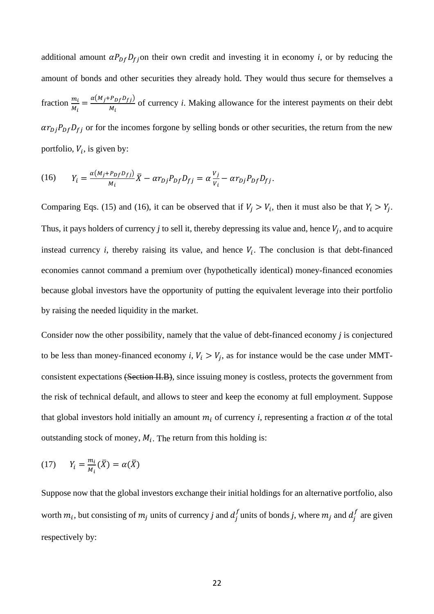additional amount  $\alpha P_{Df} D_{f}$  on their own credit and investing it in economy *i*, or by reducing the amount of bonds and other securities they already hold. They would thus secure for themselves a fraction  $\frac{m_i}{M_i} = \frac{\alpha (M_j + P_{Df}D_{fj})}{M_i}$  $\frac{f_{Df}p_{f}}{M_i}$  of currency *i*. Making allowance for the interest payments on their debt  $\alpha r_{Dj}P_{Df}D_{fj}$  or for the incomes forgone by selling bonds or other securities, the return from the new portfolio,  $V_i$ , is given by:

(16) 
$$
Y_i = \frac{\alpha(M_j + P_{Df}D_{fj})}{M_i} \overline{X} - \alpha r_{Dj} P_{Df} D_{fj} = \alpha \frac{V_j}{V_i} - \alpha r_{Dj} P_{Df} D_{fj}.
$$

Comparing Eqs. (15) and (16), it can be observed that if  $V_j > V_i$ , then it must also be that  $Y_i > Y_j$ . Thus, it pays holders of currency  $j$  to sell it, thereby depressing its value and, hence  $V_j$ , and to acquire instead currency  $i$ , thereby raising its value, and hence  $V_i$ . The conclusion is that debt-financed economies cannot command a premium over (hypothetically identical) money-financed economies because global investors have the opportunity of putting the equivalent leverage into their portfolio by raising the needed liquidity in the market.

Consider now the other possibility, namely that the value of debt-financed economy *j* is conjectured to be less than money-financed economy  $i, V_i > V_j$ , as for instance would be the case under MMTconsistent expectations (Section II.B), since issuing money is costless, protects the government from the risk of technical default, and allows to steer and keep the economy at full employment. Suppose that global investors hold initially an amount  $m_i$  of currency *i*, representing a fraction  $\alpha$  of the total outstanding stock of money,  $M_i$ . The return from this holding is:

$$
(17) \qquad Y_i = \frac{m_i}{M_i}(\bar{X}) = \alpha(\bar{X})
$$

Suppose now that the global investors exchange their initial holdings for an alternative portfolio, also worth  $m_i$ , but consisting of  $m_j$  units of currency *j* and  $d_j^f$  units of bonds *j*, where  $m_j$  and  $d_j^f$  are given respectively by: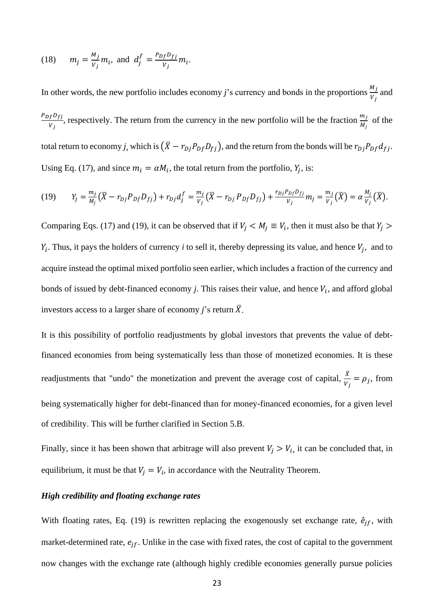(18) 
$$
m_j = \frac{M_j}{v_j} m_i
$$
, and  $d_j^f = \frac{P_{Df} D_{fj}}{v_j} m_i$ .

In other words, the new portfolio includes economy *j*'s currency and bonds in the proportions  $\frac{M_j}{V_j}$  and  $P_{Df}D_{fj}$  $\frac{f^{D}f_{j}}{W_{j}}$ , respectively. The return from the currency in the new portfolio will be the fraction  $\frac{m_{j}}{M_{j}}$  of the total return to economy *j*, which is  $(\bar{X} - r_{Dj}P_{Df}D_{fj})$ , and the return from the bonds will be  $r_{Dj}P_{Df}d_{fj}$ . Using Eq. (17), and since  $m_i = \alpha M_i$ , the total return from the portfolio,  $Y_j$ , is:

(19) 
$$
Y_j = \frac{m_j}{M_j} (\bar{X} - r_{Dj} P_{Df} D_{fj}) + r_{Dj} d_j^f = \frac{m_j}{v_j} (\bar{X} - r_{Dj} P_{Df} D_{fj}) + \frac{r_{Dj} P_{Df} D_{fj}}{v_j} m_j = \frac{m_j}{v_j} (\bar{X}) = \alpha \frac{M_j}{v_j} (\bar{X}).
$$

Comparing Eqs. (17) and (19), it can be observed that if  $V_j < M_j \equiv V_i$ , then it must also be that  $Y_j >$  $Y_i$ . Thus, it pays the holders of currency *i* to sell it, thereby depressing its value, and hence  $V_j$ , and to acquire instead the optimal mixed portfolio seen earlier, which includes a fraction of the currency and bonds of issued by debt-financed economy  $j$ . This raises their value, and hence  $V_i$ , and afford global investors access to a larger share of economy *j*'s return  $\bar{X}$ .

It is this possibility of portfolio readjustments by global investors that prevents the value of debtfinanced economies from being systematically less than those of monetized economies. It is these readjustments that "undo" the monetization and prevent the average cost of capital,  $\frac{\bar{x}}{v_j} = \rho_j$ , from being systematically higher for debt-financed than for money-financed economies, for a given level of credibility. This will be further clarified in Section 5.B.

Finally, since it has been shown that arbitrage will also prevent  $V_i > V_i$ , it can be concluded that, in equilibrium, it must be that  $V_j = V_i$ , in accordance with the Neutrality Theorem.

#### *High credibility and floating exchange rates*

With floating rates, Eq. (19) is rewritten replacing the exogenously set exchange rate,  $\hat{e}_{if}$ , with market-determined rate,  $e_{if}$ . Unlike in the case with fixed rates, the cost of capital to the government now changes with the exchange rate (although highly credible economies generally pursue policies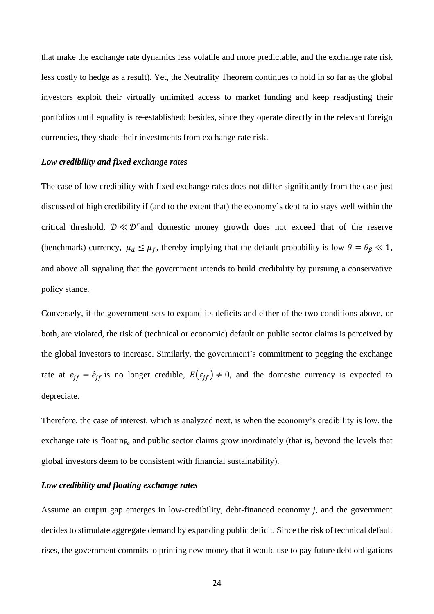that make the exchange rate dynamics less volatile and more predictable, and the exchange rate risk less costly to hedge as a result). Yet, the Neutrality Theorem continues to hold in so far as the global investors exploit their virtually unlimited access to market funding and keep readjusting their portfolios until equality is re-established; besides, since they operate directly in the relevant foreign currencies, they shade their investments from exchange rate risk.

#### *Low credibility and fixed exchange rates*

The case of low credibility with fixed exchange rates does not differ significantly from the case just discussed of high credibility if (and to the extent that) the economy's debt ratio stays well within the critical threshold,  $\mathcal{D} \ll \mathcal{D}^c$  and domestic money growth does not exceed that of the reserve (benchmark) currency,  $\mu_d \leq \mu_f$ , thereby implying that the default probability is low  $\theta = \theta_\beta \ll 1$ , and above all signaling that the government intends to build credibility by pursuing a conservative policy stance.

Conversely, if the government sets to expand its deficits and either of the two conditions above, or both, are violated, the risk of (technical or economic) default on public sector claims is perceived by the global investors to increase. Similarly, the government's commitment to pegging the exchange rate at  $e_{jf} = \hat{e}_{jf}$  is no longer credible,  $E(\varepsilon_{jf}) \neq 0$ , and the domestic currency is expected to depreciate.

Therefore, the case of interest, which is analyzed next, is when the economy's credibility is low, the exchange rate is floating, and public sector claims grow inordinately (that is, beyond the levels that global investors deem to be consistent with financial sustainability).

## *Low credibility and floating exchange rates*

Assume an output gap emerges in low-credibility, debt-financed economy *j*, and the government decides to stimulate aggregate demand by expanding public deficit. Since the risk of technical default rises, the government commits to printing new money that it would use to pay future debt obligations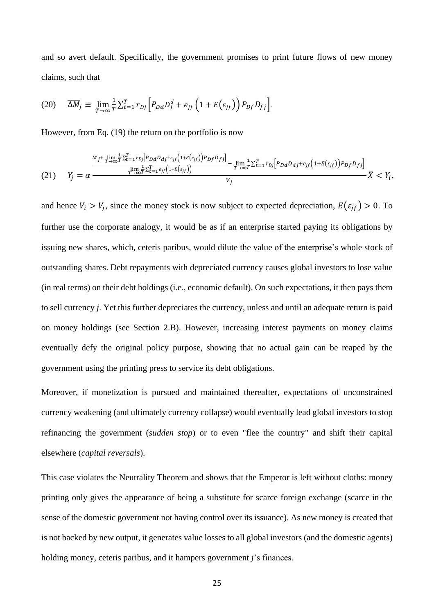and so avert default. Specifically, the government promises to print future flows of new money claims, such that

(20) 
$$
\overline{\Delta M}_j \equiv \lim_{T \to \infty} \frac{1}{T} \sum_{t=1}^T r_{Dj} \left[ P_{Dd} D_j^d + e_{jf} \left( 1 + E(\varepsilon_{jf}) \right) P_{Df} D_{fj} \right].
$$

However, from Eq. (19) the return on the portfolio is now

$$
(21) \qquad Y_j = \alpha \frac{\frac{M_j + \lim_{T \to \infty} \frac{1}{T} \sum_{t=1}^T r_{Dj} [P_{Dd} D_{dj} + e_{jf}(1+E(\varepsilon_{jf}))] - \lim_{T \to \infty} \frac{1}{T} \sum_{t=1}^T r_{Dj} [P_{Dd} D_{dj} + e_{jf}(1+E(\varepsilon_{jf})) - P_{Df} D_{fj}]}{V_j} - \frac{\lim_{T \to \infty} \frac{1}{T} \sum_{t=1}^T e_{jf}(1+E(\varepsilon_{jf})) - \lim_{T \to \infty} \frac{1}{T} \sum_{t=1}^T r_{Dj} [P_{Dd} D_{dj} + e_{jf}(1+E(\varepsilon_{jf})) - P_{Df} D_{fj}] - \lim_{T \to \infty} \frac{1}{T} \sum_{t=1}^T r_{Dj} [P_{Dd} D_{dj} + e_{jf}(1+E(\varepsilon_{jf})) - P_{Df} D_{fj}] - \frac{\lim_{T \to \infty} \frac{1}{T} \sum_{t=1}^T e_{jf}(1+E(\varepsilon_{jf})) - \lim_{T \to \infty} \frac{1}{T} \sum_{t=1}^T e_{jt}(1+E(\varepsilon_{jf})) - \frac{\lim_{T \to \infty} \frac{1}{T} \sum_{t=1}^T e_{jt}(1+E(\varepsilon_{jf})) - \lim_{T \to \infty} \frac{1}{T} \sum_{t=1}^T e_{jt}(1+E(\varepsilon_{jf})) - \frac{\lim_{T \to \infty} \frac{1}{T} \sum_{t=1}^T e_{jt}(1+E(\varepsilon_{jf})) - \lim_{T \to \infty} \frac{1}{T} \sum_{t=1}^T e_{jt}(1+E(\varepsilon_{jf})) - \frac{\lim_{T \to \infty} \frac{1}{T} \sum_{t=1}^T e_{jt}(1+E(\varepsilon_{jf})) - \lim_{T \to \infty} \frac{1}{T} \sum_{t=1}^T e_{jt}(1+E(\varepsilon_{jf})) - \frac{\lim_{T \to \infty} \frac{1}{T} \sum_{t=1}^T e_{jt}(1+E(\varepsilon_{jf})) - \frac{\lim_{T \to \infty} \frac{1}{T} \sum_{t=1}^T e_{jt}(1+E(\varepsilon_{jf})) - \frac{\lim_{T \to \infty} \frac{1}{T} \sum_{t
$$

and hence  $V_i > V_j$ , since the money stock is now subject to expected depreciation,  $E(\varepsilon_{if}) > 0$ . To further use the corporate analogy, it would be as if an enterprise started paying its obligations by issuing new shares, which, ceteris paribus, would dilute the value of the enterprise's whole stock of outstanding shares. Debt repayments with depreciated currency causes global investors to lose value (in real terms) on their debt holdings (i.e., economic default). On such expectations, it then pays them to sell currency *j*. Yet this further depreciates the currency, unless and until an adequate return is paid on money holdings (see Section 2.B). However, increasing interest payments on money claims eventually defy the original policy purpose, showing that no actual gain can be reaped by the government using the printing press to service its debt obligations.

Moreover, if monetization is pursued and maintained thereafter, expectations of unconstrained currency weakening (and ultimately currency collapse) would eventually lead global investors to stop refinancing the government (*sudden stop*) or to even "flee the country" and shift their capital elsewhere (*capital reversals*).

This case violates the Neutrality Theorem and shows that the Emperor is left without cloths: money printing only gives the appearance of being a substitute for scarce foreign exchange (scarce in the sense of the domestic government not having control over its issuance). As new money is created that is not backed by new output, it generates value losses to all global investors (and the domestic agents) holding money, ceteris paribus, and it hampers government *j*'s finances.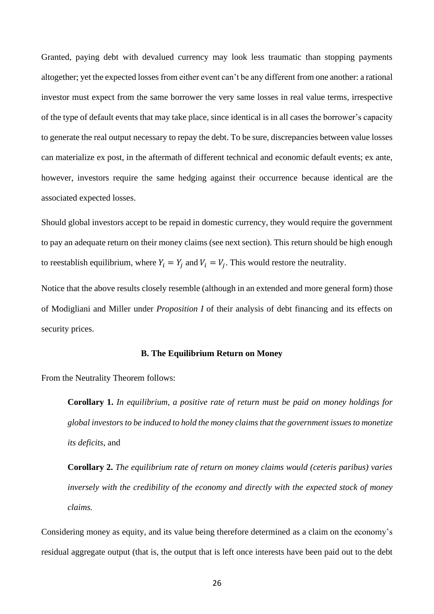Granted, paying debt with devalued currency may look less traumatic than stopping payments altogether; yet the expected losses from either event can't be any different from one another: a rational investor must expect from the same borrower the very same losses in real value terms, irrespective of the type of default events that may take place, since identical is in all cases the borrower's capacity to generate the real output necessary to repay the debt. To be sure, discrepancies between value losses can materialize ex post, in the aftermath of different technical and economic default events; ex ante, however, investors require the same hedging against their occurrence because identical are the associated expected losses.

Should global investors accept to be repaid in domestic currency, they would require the government to pay an adequate return on their money claims (see next section). This return should be high enough to reestablish equilibrium, where  $Y_i = Y_j$  and  $V_i = V_j$ . This would restore the neutrality.

Notice that the above results closely resemble (although in an extended and more general form) those of Modigliani and Miller under *Proposition I* of their analysis of debt financing and its effects on security prices.

#### **B. The Equilibrium Return on Money**

From the Neutrality Theorem follows:

**Corollary 1.** *In equilibrium, a positive rate of return must be paid on money holdings for global investors to be induced to hold the money claims that the government issues to monetize its deficits,* and

**Corollary 2.** *The equilibrium rate of return on money claims would (ceteris paribus) varies inversely with the credibility of the economy and directly with the expected stock of money claims.* 

Considering money as equity, and its value being therefore determined as a claim on the economy's residual aggregate output (that is, the output that is left once interests have been paid out to the debt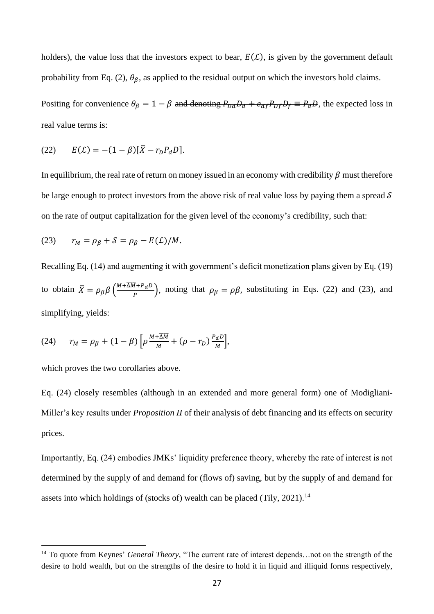holders), the value loss that the investors expect to bear,  $E(L)$ , is given by the government default probability from Eq. (2),  $\theta_{\beta}$ , as applied to the residual output on which the investors hold claims.

Positing for convenience  $\theta_{\beta} = 1 - \beta$  and denoting  $P_{\mu\nu}D_{\mu} + e_{\alpha\beta}P_{\mu\nu}D_{\beta} \equiv P_{\alpha}D$ , the expected loss in real value terms is:

(22) 
$$
E(L) = -(1 - \beta)[\bar{X} - r_D P_d D].
$$

In equilibrium, the real rate of return on money issued in an economy with credibility  $\beta$  must therefore be large enough to protect investors from the above risk of real value loss by paying them a spread  $\mathcal S$ on the rate of output capitalization for the given level of the economy's credibility, such that:

(23) 
$$
r_M = \rho_\beta + \mathcal{S} = \rho_\beta - E(\mathcal{L})/M.
$$

Recalling Eq. (14) and augmenting it with government's deficit monetization plans given by Eq. (19) to obtain  $\bar{X} = \rho_{\beta} \beta \left( \frac{M + \overline{\Delta M} + P_d D}{P} \right)$  $\left(\frac{q+P_dD}{P}\right)$ , noting that  $\rho_\beta = \rho\beta$ , substituting in Eqs. (22) and (23), and simplifying, yields:

(24) 
$$
r_M = \rho_\beta + (1 - \beta) \left[ \rho \frac{M + \overline{\Delta M}}{M} + (\rho - r_D) \frac{P_d D}{M} \right],
$$

which proves the two corollaries above.

Eq. (24) closely resembles (although in an extended and more general form) one of Modigliani-Miller's key results under *Proposition II* of their analysis of debt financing and its effects on security prices.

Importantly, Eq. (24) embodies JMKs' liquidity preference theory, whereby the rate of interest is not determined by the supply of and demand for (flows of) saving, but by the supply of and demand for assets into which holdings of (stocks of) wealth can be placed (Tily,  $2021$ ).<sup>14</sup>

<sup>14</sup> To quote from Keynes' *General Theory*, "The current rate of interest depends…not on the strength of the desire to hold wealth, but on the strengths of the desire to hold it in liquid and illiquid forms respectively,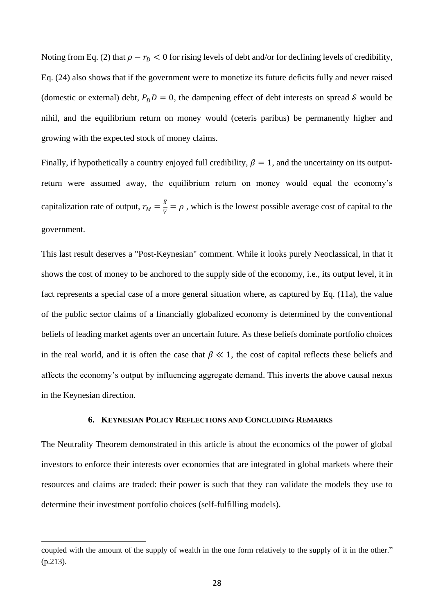Noting from Eq. (2) that  $\rho - r_D < 0$  for rising levels of debt and/or for declining levels of credibility, Eq. (24) also shows that if the government were to monetize its future deficits fully and never raised (domestic or external) debt,  $P_D D = 0$ , the dampening effect of debt interests on spread S would be nihil, and the equilibrium return on money would (ceteris paribus) be permanently higher and growing with the expected stock of money claims.

Finally, if hypothetically a country enjoyed full credibility,  $\beta = 1$ , and the uncertainty on its outputreturn were assumed away, the equilibrium return on money would equal the economy's capitalization rate of output,  $r_M = \frac{\bar{x}}{v}$  $\frac{\Delta}{V} = \rho$ , which is the lowest possible average cost of capital to the government.

This last result deserves a "Post-Keynesian" comment. While it looks purely Neoclassical, in that it shows the cost of money to be anchored to the supply side of the economy, i.e., its output level, it in fact represents a special case of a more general situation where, as captured by Eq. (11a), the value of the public sector claims of a financially globalized economy is determined by the conventional beliefs of leading market agents over an uncertain future. As these beliefs dominate portfolio choices in the real world, and it is often the case that  $\beta \ll 1$ , the cost of capital reflects these beliefs and affects the economy's output by influencing aggregate demand. This inverts the above causal nexus in the Keynesian direction.

### **6. KEYNESIAN POLICY REFLECTIONS AND CONCLUDING REMARKS**

The Neutrality Theorem demonstrated in this article is about the economics of the power of global investors to enforce their interests over economies that are integrated in global markets where their resources and claims are traded: their power is such that they can validate the models they use to determine their investment portfolio choices (self-fulfilling models).

coupled with the amount of the supply of wealth in the one form relatively to the supply of it in the other." (p.213).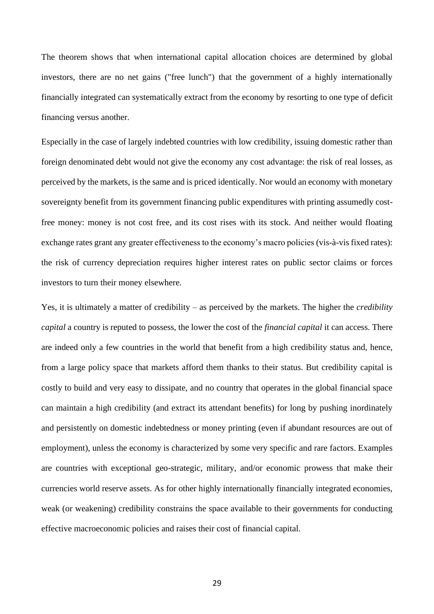The theorem shows that when international capital allocation choices are determined by global investors, there are no net gains ("free lunch") that the government of a highly internationally financially integrated can systematically extract from the economy by resorting to one type of deficit financing versus another.

Especially in the case of largely indebted countries with low credibility, issuing domestic rather than foreign denominated debt would not give the economy any cost advantage: the risk of real losses, as perceived by the markets, is the same and is priced identically. Nor would an economy with monetary sovereignty benefit from its government financing public expenditures with printing assumedly costfree money: money is not cost free, and its cost rises with its stock. And neither would floating exchange rates grant any greater effectiveness to the economy's macro policies (vis-à-vis fixed rates): the risk of currency depreciation requires higher interest rates on public sector claims or forces investors to turn their money elsewhere.

Yes, it is ultimately a matter of credibility – as perceived by the markets. The higher the *credibility capital* a country is reputed to possess, the lower the cost of the *financial capital* it can access. There are indeed only a few countries in the world that benefit from a high credibility status and, hence, from a large policy space that markets afford them thanks to their status. But credibility capital is costly to build and very easy to dissipate, and no country that operates in the global financial space can maintain a high credibility (and extract its attendant benefits) for long by pushing inordinately and persistently on domestic indebtedness or money printing (even if abundant resources are out of employment), unless the economy is characterized by some very specific and rare factors. Examples are countries with exceptional geo-strategic, military, and/or economic prowess that make their currencies world reserve assets. As for other highly internationally financially integrated economies, weak (or weakening) credibility constrains the space available to their governments for conducting effective macroeconomic policies and raises their cost of financial capital.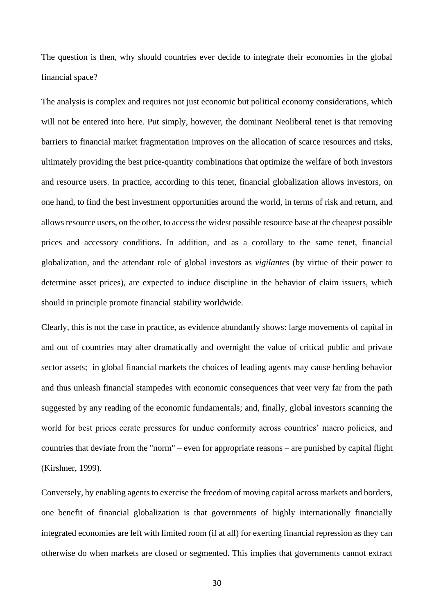The question is then, why should countries ever decide to integrate their economies in the global financial space?

The analysis is complex and requires not just economic but political economy considerations, which will not be entered into here. Put simply, however, the dominant Neoliberal tenet is that removing barriers to financial market fragmentation improves on the allocation of scarce resources and risks, ultimately providing the best price-quantity combinations that optimize the welfare of both investors and resource users. In practice, according to this tenet, financial globalization allows investors, on one hand, to find the best investment opportunities around the world, in terms of risk and return, and allows resource users, on the other, to access the widest possible resource base at the cheapest possible prices and accessory conditions. In addition, and as a corollary to the same tenet, financial globalization, and the attendant role of global investors as *vigilantes* (by virtue of their power to determine asset prices), are expected to induce discipline in the behavior of claim issuers, which should in principle promote financial stability worldwide.

Clearly, this is not the case in practice, as evidence abundantly shows: large movements of capital in and out of countries may alter dramatically and overnight the value of critical public and private sector assets; in global financial markets the choices of leading agents may cause herding behavior and thus unleash financial stampedes with economic consequences that veer very far from the path suggested by any reading of the economic fundamentals; and, finally, global investors scanning the world for best prices cerate pressures for undue conformity across countries' macro policies, and countries that deviate from the "norm" – even for appropriate reasons – are punished by capital flight (Kirshner, 1999).

Conversely, by enabling agents to exercise the freedom of moving capital across markets and borders, one benefit of financial globalization is that governments of highly internationally financially integrated economies are left with limited room (if at all) for exerting financial repression as they can otherwise do when markets are closed or segmented. This implies that governments cannot extract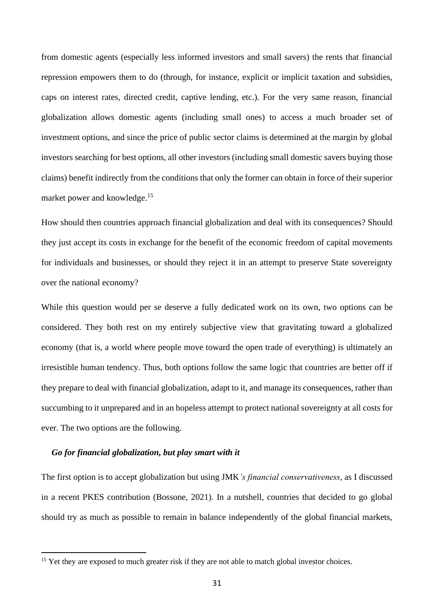from domestic agents (especially less informed investors and small savers) the rents that financial repression empowers them to do (through, for instance, explicit or implicit taxation and subsidies, caps on interest rates, directed credit, captive lending, etc.). For the very same reason, financial globalization allows domestic agents (including small ones) to access a much broader set of investment options, and since the price of public sector claims is determined at the margin by global investors searching for best options, all other investors (including small domestic savers buying those claims) benefit indirectly from the conditions that only the former can obtain in force of their superior market power and knowledge. 15

How should then countries approach financial globalization and deal with its consequences? Should they just accept its costs in exchange for the benefit of the economic freedom of capital movements for individuals and businesses, or should they reject it in an attempt to preserve State sovereignty over the national economy?

While this question would per se deserve a fully dedicated work on its own, two options can be considered. They both rest on my entirely subjective view that gravitating toward a globalized economy (that is, a world where people move toward the open trade of everything) is ultimately an irresistible human tendency. Thus, both options follow the same logic that countries are better off if they prepare to deal with financial globalization, adapt to it, and manage its consequences, rather than succumbing to it unprepared and in an hopeless attempt to protect national sovereignty at all costs for ever. The two options are the following.

## *Go for financial globalization, but play smart with it*

The first option is to accept globalization but using JMK*'s financial conservativeness*, as I discussed in a recent PKES contribution (Bossone, 2021). In a nutshell, countries that decided to go global should try as much as possible to remain in balance independently of the global financial markets,

<sup>&</sup>lt;sup>15</sup> Yet they are exposed to much greater risk if they are not able to match global investor choices.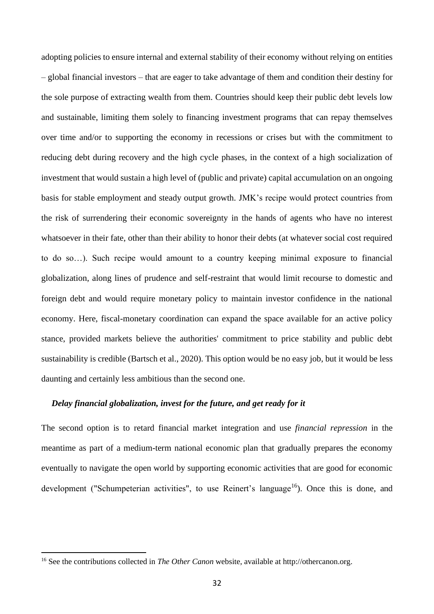adopting policies to ensure internal and external stability of their economy without relying on entities – global financial investors – that are eager to take advantage of them and condition their destiny for the sole purpose of extracting wealth from them. Countries should keep their public debt levels low and sustainable, limiting them solely to financing investment programs that can repay themselves over time and/or to supporting the economy in recessions or crises but with the commitment to reducing debt during recovery and the high cycle phases, in the context of a high socialization of investment that would sustain a high level of (public and private) capital accumulation on an ongoing basis for stable employment and steady output growth. JMK's recipe would protect countries from the risk of surrendering their economic sovereignty in the hands of agents who have no interest whatsoever in their fate, other than their ability to honor their debts (at whatever social cost required to do so…). Such recipe would amount to a country keeping minimal exposure to financial globalization, along lines of prudence and self-restraint that would limit recourse to domestic and foreign debt and would require monetary policy to maintain investor confidence in the national economy. Here, fiscal-monetary coordination can expand the space available for an active policy stance, provided markets believe the authorities' commitment to price stability and public debt sustainability is credible (Bartsch et al., 2020). This option would be no easy job, but it would be less daunting and certainly less ambitious than the second one.

## *Delay financial globalization, invest for the future, and get ready for it*

The second option is to retard financial market integration and use *financial repression* in the meantime as part of a medium-term national economic plan that gradually prepares the economy eventually to navigate the open world by supporting economic activities that are good for economic development ("Schumpeterian activities", to use Reinert's language<sup>16</sup>). Once this is done, and

<sup>16</sup> See the contributions collected in *The Other Canon* website, available at http://othercanon.org.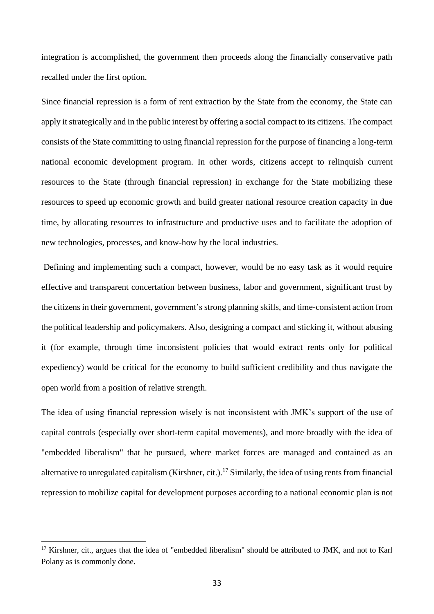integration is accomplished, the government then proceeds along the financially conservative path recalled under the first option.

Since financial repression is a form of rent extraction by the State from the economy, the State can apply it strategically and in the public interest by offering a social compact to its citizens. The compact consists of the State committing to using financial repression for the purpose of financing a long-term national economic development program. In other words, citizens accept to relinquish current resources to the State (through financial repression) in exchange for the State mobilizing these resources to speed up economic growth and build greater national resource creation capacity in due time, by allocating resources to infrastructure and productive uses and to facilitate the adoption of new technologies, processes, and know-how by the local industries.

Defining and implementing such a compact, however, would be no easy task as it would require effective and transparent concertation between business, labor and government, significant trust by the citizens in their government, government's strong planning skills, and time-consistent action from the political leadership and policymakers. Also, designing a compact and sticking it, without abusing it (for example, through time inconsistent policies that would extract rents only for political expediency) would be critical for the economy to build sufficient credibility and thus navigate the open world from a position of relative strength.

The idea of using financial repression wisely is not inconsistent with JMK's support of the use of capital controls (especially over short-term capital movements), and more broadly with the idea of "embedded liberalism" that he pursued, where market forces are managed and contained as an alternative to unregulated capitalism (Kirshner, cit.).<sup>17</sup> Similarly, the idea of using rents from financial repression to mobilize capital for development purposes according to a national economic plan is not

<sup>&</sup>lt;sup>17</sup> Kirshner, cit., argues that the idea of "embedded liberalism" should be attributed to JMK, and not to Karl Polany as is commonly done.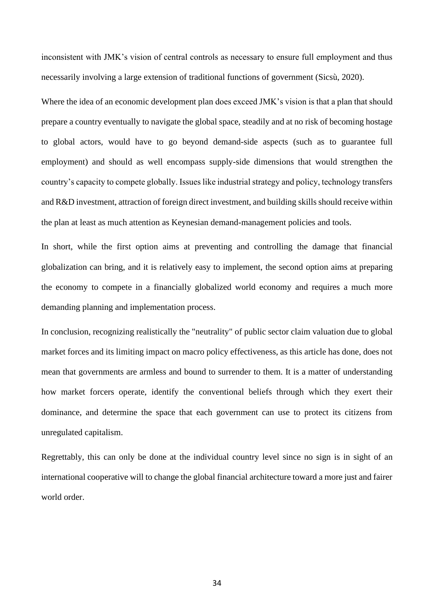inconsistent with JMK's vision of central controls as necessary to ensure full employment and thus necessarily involving a large extension of traditional functions of government (Sicsù, 2020).

Where the idea of an economic development plan does exceed JMK's vision is that a plan that should prepare a country eventually to navigate the global space, steadily and at no risk of becoming hostage to global actors, would have to go beyond demand-side aspects (such as to guarantee full employment) and should as well encompass supply-side dimensions that would strengthen the country's capacity to compete globally. Issues like industrial strategy and policy, technology transfers and R&D investment, attraction of foreign direct investment, and building skills should receive within the plan at least as much attention as Keynesian demand-management policies and tools.

In short, while the first option aims at preventing and controlling the damage that financial globalization can bring, and it is relatively easy to implement, the second option aims at preparing the economy to compete in a financially globalized world economy and requires a much more demanding planning and implementation process.

In conclusion, recognizing realistically the "neutrality" of public sector claim valuation due to global market forces and its limiting impact on macro policy effectiveness, as this article has done, does not mean that governments are armless and bound to surrender to them. It is a matter of understanding how market forcers operate, identify the conventional beliefs through which they exert their dominance, and determine the space that each government can use to protect its citizens from unregulated capitalism.

Regrettably, this can only be done at the individual country level since no sign is in sight of an international cooperative will to change the global financial architecture toward a more just and fairer world order.

34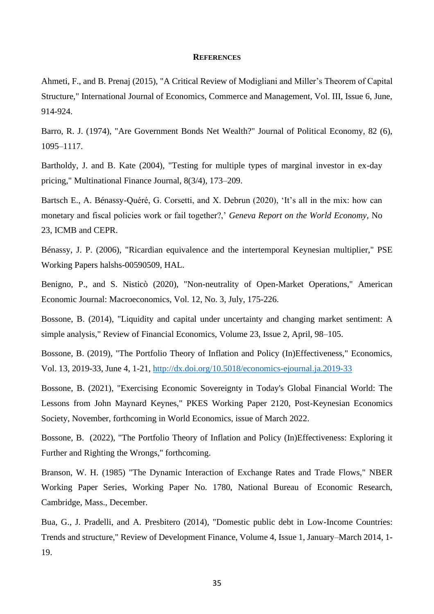#### **REFERENCES**

Ahmeti, F., and B. Prenaj (2015), "A Critical Review of Modigliani and Miller's Theorem of Capital Structure," International Journal of Economics, Commerce and Management, Vol. III, Issue 6, June, 914-924.

Barro, R. J. (1974), "Are Government Bonds Net Wealth?" Journal of Political Economy, 82 (6), 1095–1117.

Bartholdy, J. and B. Kate (2004), "Testing for multiple types of marginal investor in ex-day pricing," Multinational Finance Journal, 8(3/4), 173–209.

Bartsch E., A. Bénassy-Quéré, G. Corsetti, and X. Debrun (2020), 'It's all in the mix: how can monetary and fiscal policies work or fail together?,' *Geneva Report on the World Economy*, No 23, ICMB and CEPR.

Bénassy, J. P. (2006), "Ricardian equivalence and the intertemporal Keynesian multiplier," PSE Working Papers halshs-00590509, HAL.

Benigno, P., and S. Nisticò (2020), "Non-neutrality of Open-Market Operations," American Economic Journal: Macroeconomics, Vol. 12, No. 3, July, 175-226.

Bossone, B. (2014), "Liquidity and capital under uncertainty and changing market sentiment: A simple analysis," Review of Financial Economics, Volume 23, Issue 2, April, 98–105.

Bossone, B. (2019), "The Portfolio Theory of Inflation and Policy (In)Effectiveness," Economics, Vol. 13, 2019-33, June 4, 1-21,<http://dx.doi.org/10.5018/economics-ejournal.ja.2019-33>

Bossone, B. (2021), "Exercising Economic Sovereignty in Today's Global Financial World: The Lessons from John Maynard Keynes," PKES Working Paper 2120, Post-Keynesian Economics Society, November, forthcoming in World Economics, issue of March 2022.

Bossone, B. (2022), "The Portfolio Theory of Inflation and Policy (In)Effectiveness: Exploring it Further and Righting the Wrongs," forthcoming.

Branson, W. H. (1985) "The Dynamic Interaction of Exchange Rates and Trade Flows," NBER Working Paper Series, Working Paper No. 1780, National Bureau of Economic Research, Cambridge, Mass., December.

Bua, G., J. Pradelli, and A. Presbitero (2014), "Domestic public debt in Low-Income Countries: Trends and structure," Review of Development Finance, Volume 4, Issue 1, January–March 2014, 1- 19.

35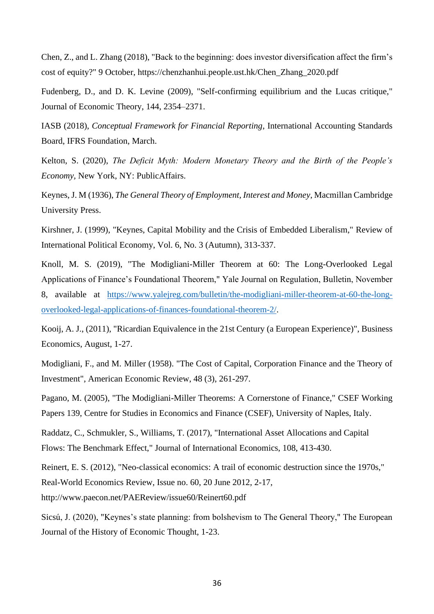Chen, Z., and L. Zhang (2018), "Back to the beginning: does investor diversification affect the firm's cost of equity?" 9 October, https://chenzhanhui.people.ust.hk/Chen\_Zhang\_2020.pdf

Fudenberg, D., and D. K. Levine (2009), "Self-confirming equilibrium and the Lucas critique," Journal of Economic Theory, 144, 2354–2371.

IASB (2018), *Conceptual Framework for Financial Reporting*, International Accounting Standards Board, IFRS Foundation, March.

Kelton, S. (2020), *The Deficit Myth: Modern Monetary Theory and the Birth of the People's Economy,* New York, NY: PublicAffairs.

Keynes, J. M (1936), *The General Theory of Employment, Interest and Money*, Macmillan Cambridge University Press.

Kirshner, J. (1999), "Keynes, Capital Mobility and the Crisis of Embedded Liberalism," Review of International Political Economy, Vol. 6, No. 3 (Autumn), 313-337.

Knoll, M. S. (2019), "The Modigliani-Miller Theorem at 60: The Long-Overlooked Legal Applications of Finance's Foundational Theorem," Yale Journal on Regulation, Bulletin, November 8, available at [https://www.yalejreg.com/bulletin/the-modigliani-miller-theorem-at-60-the-long](https://www.yalejreg.com/bulletin/the-modigliani-miller-theorem-at-60-the-long-overlooked-legal-applications-of-finances-foundational-theorem-2/)[overlooked-legal-applications-of-finances-foundational-theorem-2/.](https://www.yalejreg.com/bulletin/the-modigliani-miller-theorem-at-60-the-long-overlooked-legal-applications-of-finances-foundational-theorem-2/)

Kooij, A. J., (2011), "Ricardian Equivalence in the 21st Century (a European Experience)", Business Economics, August, 1-27.

Modigliani, F., and M. Miller (1958). "The Cost of Capital, Corporation Finance and the Theory of Investment", American Economic Review, 48 (3), 261-297.

Pagano, M. (2005), "The Modigliani-Miller Theorems: A Cornerstone of Finance," CSEF Working Papers 139, Centre for Studies in Economics and Finance (CSEF), University of Naples, Italy.

Raddatz, C., Schmukler, S., Williams, T. (2017), "International Asset Allocations and Capital Flows: The Benchmark Effect," Journal of International Economics, 108, 413-430.

Reinert, E. S. (2012), "Neo-classical economics: A trail of economic destruction since the 1970s," Real-World Economics Review, Issue no. 60, 20 June 2012, 2-17, http://www.paecon.net/PAEReview/issue60/Reinert60.pdf

Sicsú, J. (2020), "Keynes's state planning: from bolshevism to The General Theory," The European Journal of the History of Economic Thought, 1-23.